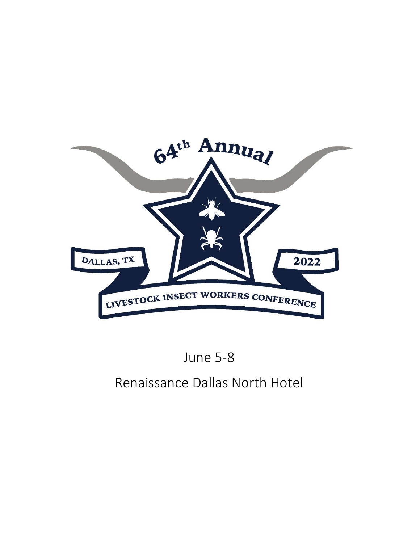

## June 5-8

## Renaissance Dallas North Hotel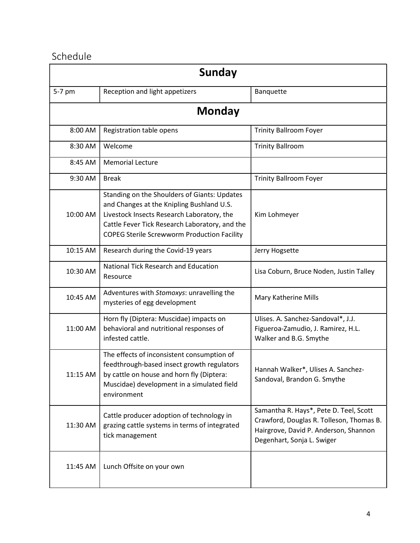## Schedule

| Sunday   |                                                                                                                                                                                                                                                 |                                                                                                                                                           |  |  |
|----------|-------------------------------------------------------------------------------------------------------------------------------------------------------------------------------------------------------------------------------------------------|-----------------------------------------------------------------------------------------------------------------------------------------------------------|--|--|
| 5-7 pm   | Reception and light appetizers                                                                                                                                                                                                                  | Banquette                                                                                                                                                 |  |  |
|          | <b>Monday</b>                                                                                                                                                                                                                                   |                                                                                                                                                           |  |  |
| 8:00 AM  | Registration table opens                                                                                                                                                                                                                        | <b>Trinity Ballroom Foyer</b>                                                                                                                             |  |  |
| 8:30 AM  | Welcome                                                                                                                                                                                                                                         | <b>Trinity Ballroom</b>                                                                                                                                   |  |  |
| 8:45 AM  | <b>Memorial Lecture</b>                                                                                                                                                                                                                         |                                                                                                                                                           |  |  |
| 9:30 AM  | <b>Break</b>                                                                                                                                                                                                                                    | <b>Trinity Ballroom Foyer</b>                                                                                                                             |  |  |
| 10:00 AM | Standing on the Shoulders of Giants: Updates<br>and Changes at the Knipling Bushland U.S.<br>Livestock Insects Research Laboratory, the<br>Cattle Fever Tick Research Laboratory, and the<br><b>COPEG Sterile Screwworm Production Facility</b> | Kim Lohmeyer                                                                                                                                              |  |  |
| 10:15 AM | Research during the Covid-19 years                                                                                                                                                                                                              | Jerry Hogsette                                                                                                                                            |  |  |
| 10:30 AM | National Tick Research and Education<br>Resource                                                                                                                                                                                                | Lisa Coburn, Bruce Noden, Justin Talley                                                                                                                   |  |  |
| 10:45 AM | Adventures with Stomoxys: unravelling the<br>mysteries of egg development                                                                                                                                                                       | Mary Katherine Mills                                                                                                                                      |  |  |
| 11:00 AM | Horn fly (Diptera: Muscidae) impacts on<br>behavioral and nutritional responses of<br>infested cattle.                                                                                                                                          | Ulises. A. Sanchez-Sandoval*, J.J.<br>Figueroa-Zamudio, J. Ramirez, H.L.<br>Walker and B.G. Smythe                                                        |  |  |
| 11:15 AM | The effects of inconsistent consumption of<br>feedthrough-based insect growth regulators<br>by cattle on house and horn fly (Diptera:<br>Muscidae) development in a simulated field<br>environment                                              | Hannah Walker*, Ulises A. Sanchez-<br>Sandoval, Brandon G. Smythe                                                                                         |  |  |
| 11:30 AM | Cattle producer adoption of technology in<br>grazing cattle systems in terms of integrated<br>tick management                                                                                                                                   | Samantha R. Hays*, Pete D. Teel, Scott<br>Crawford, Douglas R. Tolleson, Thomas B.<br>Hairgrove, David P. Anderson, Shannon<br>Degenhart, Sonja L. Swiger |  |  |
| 11:45 AM | Lunch Offsite on your own                                                                                                                                                                                                                       |                                                                                                                                                           |  |  |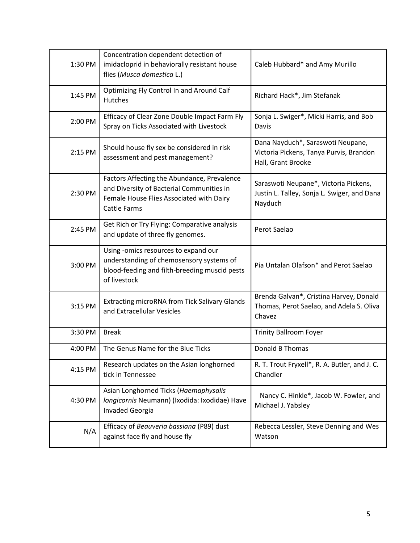| 1:30 PM | Concentration dependent detection of<br>imidacloprid in behaviorally resistant house<br>flies (Musca domestica L.)                                          | Caleb Hubbard* and Amy Murillo                                                                     |
|---------|-------------------------------------------------------------------------------------------------------------------------------------------------------------|----------------------------------------------------------------------------------------------------|
| 1:45 PM | Optimizing Fly Control In and Around Calf<br>Hutches                                                                                                        | Richard Hack*, Jim Stefanak                                                                        |
| 2:00 PM | Efficacy of Clear Zone Double Impact Farm Fly<br>Spray on Ticks Associated with Livestock                                                                   | Sonja L. Swiger*, Micki Harris, and Bob<br>Davis                                                   |
| 2:15 PM | Should house fly sex be considered in risk<br>assessment and pest management?                                                                               | Dana Nayduch*, Saraswoti Neupane,<br>Victoria Pickens, Tanya Purvis, Brandon<br>Hall, Grant Brooke |
| 2:30 PM | Factors Affecting the Abundance, Prevalence<br>and Diversity of Bacterial Communities in<br>Female House Flies Associated with Dairy<br><b>Cattle Farms</b> | Saraswoti Neupane*, Victoria Pickens,<br>Justin L. Talley, Sonja L. Swiger, and Dana<br>Nayduch    |
| 2:45 PM | Get Rich or Try Flying: Comparative analysis<br>and update of three fly genomes.                                                                            | Perot Saelao                                                                                       |
| 3:00 PM | Using -omics resources to expand our<br>understanding of chemosensory systems of<br>blood-feeding and filth-breeding muscid pests<br>of livestock           | Pia Untalan Olafson* and Perot Saelao                                                              |
| 3:15 PM | Extracting microRNA from Tick Salivary Glands<br>and Extracellular Vesicles                                                                                 | Brenda Galvan*, Cristina Harvey, Donald<br>Thomas, Perot Saelao, and Adela S. Oliva<br>Chavez      |
| 3:30 PM | <b>Break</b>                                                                                                                                                | Trinity Ballroom Foyer                                                                             |
| 4:00 PM | The Genus Name for the Blue Ticks                                                                                                                           | <b>Donald B Thomas</b>                                                                             |
| 4:15 PM | Research updates on the Asian longhorned<br>tick in Tennessee                                                                                               | R. T. Trout Fryxell*, R. A. Butler, and J. C.<br>Chandler                                          |
| 4:30 PM | Asian Longhorned Ticks (Haemaphysalis<br>Iongicornis Neumann) (Ixodida: Ixodidae) Have<br><b>Invaded Georgia</b>                                            | Nancy C. Hinkle*, Jacob W. Fowler, and<br>Michael J. Yabsley                                       |
| N/A     | Efficacy of Beauveria bassiana (P89) dust<br>against face fly and house fly                                                                                 | Rebecca Lessler, Steve Denning and Wes<br>Watson                                                   |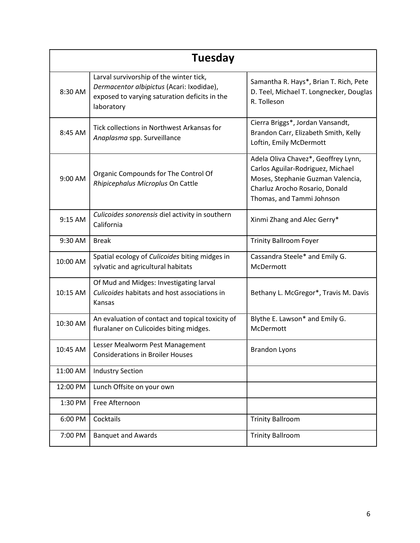| Tuesday  |                                                                                                                                                     |                                                                                                                                                                              |  |  |
|----------|-----------------------------------------------------------------------------------------------------------------------------------------------------|------------------------------------------------------------------------------------------------------------------------------------------------------------------------------|--|--|
| 8:30 AM  | Larval survivorship of the winter tick,<br>Dermacentor albipictus (Acari: Ixodidae),<br>exposed to varying saturation deficits in the<br>laboratory | Samantha R. Hays*, Brian T. Rich, Pete<br>D. Teel, Michael T. Longnecker, Douglas<br>R. Tolleson                                                                             |  |  |
| 8:45 AM  | Tick collections in Northwest Arkansas for<br>Anaplasma spp. Surveillance                                                                           | Cierra Briggs*, Jordan Vansandt,<br>Brandon Carr, Elizabeth Smith, Kelly<br>Loftin, Emily McDermott                                                                          |  |  |
| 9:00 AM  | Organic Compounds for The Control Of<br>Rhipicephalus Microplus On Cattle                                                                           | Adela Oliva Chavez*, Geoffrey Lynn,<br>Carlos Aguilar-Rodriguez, Michael<br>Moses, Stephanie Guzman Valencia,<br>Charluz Arocho Rosario, Donald<br>Thomas, and Tammi Johnson |  |  |
| 9:15 AM  | Culicoides sonorensis diel activity in southern<br>California                                                                                       | Xinmi Zhang and Alec Gerry*                                                                                                                                                  |  |  |
| 9:30 AM  | <b>Break</b>                                                                                                                                        | <b>Trinity Ballroom Foyer</b>                                                                                                                                                |  |  |
| 10:00 AM | Spatial ecology of Culicoides biting midges in<br>sylvatic and agricultural habitats                                                                | Cassandra Steele* and Emily G.<br>McDermott                                                                                                                                  |  |  |
| 10:15 AM | Of Mud and Midges: Investigating larval<br>Culicoides habitats and host associations in<br>Kansas                                                   | Bethany L. McGregor*, Travis M. Davis                                                                                                                                        |  |  |
| 10:30 AM | An evaluation of contact and topical toxicity of<br>fluralaner on Culicoides biting midges.                                                         | Blythe E. Lawson* and Emily G.<br>McDermott                                                                                                                                  |  |  |
| 10:45 AM | Lesser Mealworm Pest Management<br><b>Considerations in Broiler Houses</b>                                                                          | <b>Brandon Lyons</b>                                                                                                                                                         |  |  |
| 11:00 AM | <b>Industry Section</b>                                                                                                                             |                                                                                                                                                                              |  |  |
| 12:00 PM | Lunch Offsite on your own                                                                                                                           |                                                                                                                                                                              |  |  |
| 1:30 PM  | Free Afternoon                                                                                                                                      |                                                                                                                                                                              |  |  |
| 6:00 PM  | Cocktails                                                                                                                                           | <b>Trinity Ballroom</b>                                                                                                                                                      |  |  |
| 7:00 PM  | <b>Banquet and Awards</b>                                                                                                                           | <b>Trinity Ballroom</b>                                                                                                                                                      |  |  |